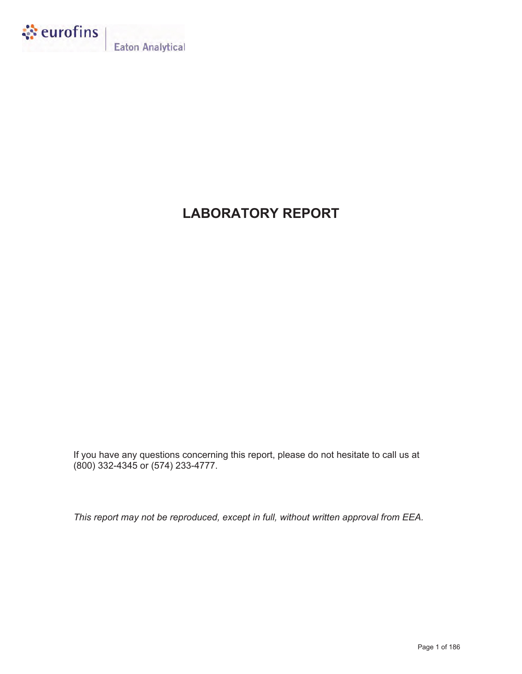

**Eaton Analytical** 

# **LABORATORY REPORT**

If you have any questions concerning this report, please do not hesitate to call us at (800) 332-4345 or (574) 233-4777.

*This report may not be reproduced, except in full, without written approval from EEA.*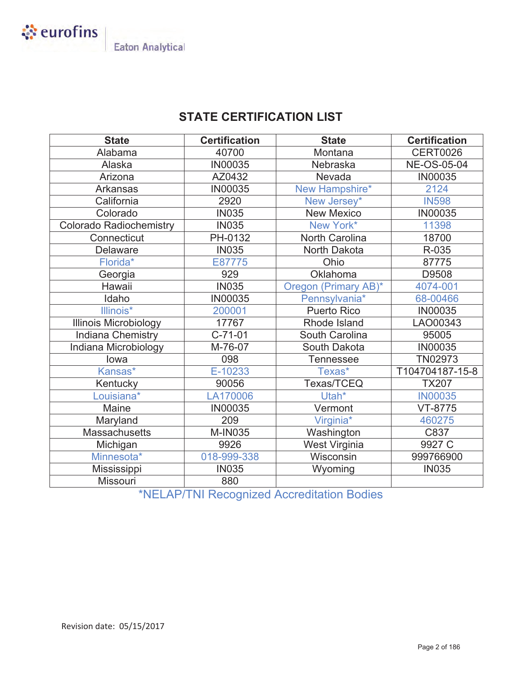

# **STATE CERTIFICATION LIST**

| <b>State</b>                   | <b>Certification</b> | <b>State</b>          | <b>Certification</b> |
|--------------------------------|----------------------|-----------------------|----------------------|
| Alabama                        | 40700                | Montana               | <b>CERT0026</b>      |
| Alaska                         | <b>IN00035</b>       | Nebraska              | <b>NE-OS-05-04</b>   |
| Arizona                        | AZ0432               | Nevada                | <b>IN00035</b>       |
| <b>Arkansas</b>                | <b>IN00035</b>       | New Hampshire*        | 2124                 |
| California                     | 2920                 | New Jersey*           | <b>IN598</b>         |
| Colorado                       | <b>IN035</b>         | <b>New Mexico</b>     | <b>IN00035</b>       |
| <b>Colorado Radiochemistry</b> | <b>IN035</b>         | New York*             | 11398                |
| Connecticut                    | PH-0132              | <b>North Carolina</b> | 18700                |
| <b>Delaware</b>                | <b>IN035</b>         | North Dakota          | R-035                |
| Florida*                       | E87775               | Ohio                  | 87775                |
| Georgia                        | 929                  | Oklahoma              | D9508                |
| Hawaii                         | <b>IN035</b>         | Oregon (Primary AB)*  | 4074-001             |
| Idaho                          | <b>IN00035</b>       | Pennsylvania*         | 68-00466             |
| Illinois*                      | 200001               | <b>Puerto Rico</b>    | <b>IN00035</b>       |
| <b>Illinois Microbiology</b>   | 17767                | Rhode Island          | LAO00343             |
| <b>Indiana Chemistry</b>       | $C-71-01$            | South Carolina        | 95005                |
| Indiana Microbiology           | M-76-07              | South Dakota          | <b>IN00035</b>       |
| lowa                           | 098                  | <b>Tennessee</b>      | TN02973              |
| Kansas*                        | E-10233              | Texas*                | T104704187-15-8      |
| Kentucky                       | 90056                | Texas/TCEQ            | <b>TX207</b>         |
| Louisiana*                     | LA170006             | Utah*                 | <b>IN00035</b>       |
| Maine                          | <b>IN00035</b>       | Vermont               | VT-8775              |
| Maryland                       | 209                  | Virginia*             | 460275               |
| <b>Massachusetts</b>           | <b>M-IN035</b>       | Washington            | C837                 |
| Michigan                       | 9926                 | West Virginia         | 9927 C               |
| Minnesota*                     | 018-999-338          | Wisconsin             | 999766900            |
| Mississippi                    | <b>IN035</b>         | Wyoming               | <b>IN035</b>         |
| Missouri                       | 880                  |                       |                      |

\*NELAP/TNI Recognized Accreditation Bodies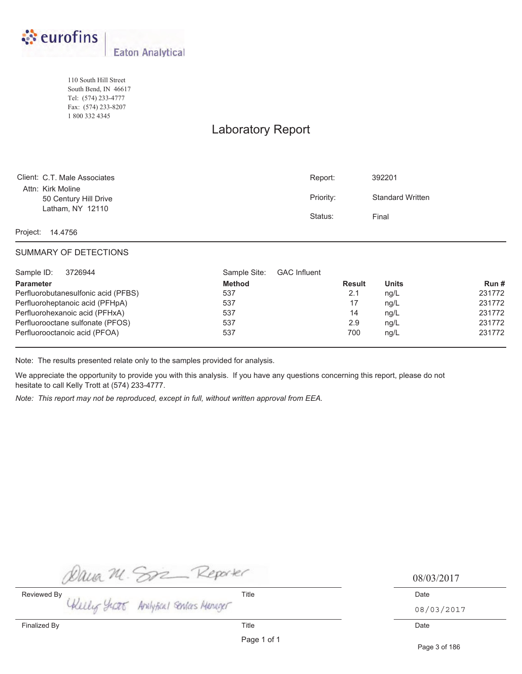

110 South Hill Street South Bend, IN 46617 Tel: (574) 233-4777 Fax: (574) 233-8207 1 800 332 4345

# Laboratory Report

| Client: C.T. Male Associates               | Report:   | 392201                  |
|--------------------------------------------|-----------|-------------------------|
| Attn: Kirk Moline<br>50 Century Hill Drive | Priority: | <b>Standard Written</b> |
| Latham, NY 12110                           | Status:   | Final                   |

Project: 14.4756

### SUMMARY OF DETECTIONS

| Sample ID:<br>3726944               | Sample Site:<br><b>GAC Influent</b> |               |              |        |
|-------------------------------------|-------------------------------------|---------------|--------------|--------|
| <b>Parameter</b>                    | <b>Method</b>                       | <b>Result</b> | <b>Units</b> | Run#   |
| Perfluorobutanesulfonic acid (PFBS) | 537                                 | 2.1           | nq/L         | 231772 |
| Perfluoroheptanoic acid (PFHpA)     | 537                                 | 17            | nq/L         | 231772 |
| Perfluorohexanoic acid (PFHxA)      | 537                                 | 14            | nq/L         | 231772 |
| Perfluorooctane sulfonate (PFOS)    | 537                                 | 2.9           | nq/L         | 231772 |
| Perfluorooctanoic acid (PFOA)       | 537                                 | 700           | nq/L         | 231772 |

Note: The results presented relate only to the samples provided for analysis.

We appreciate the opportunity to provide you with this analysis. If you have any questions concerning this report, please do not hesitate to call Kelly Trott at (574) 233-4777.

*Note: This report may not be reproduced, except in full, without written approval from EEA.*

Dava M. Son Reporter<br>Reviewed By<br>Ukilly Years Analytical Services Manager<br>08/

08/03/2017

08/03/2017

Page 3 of 186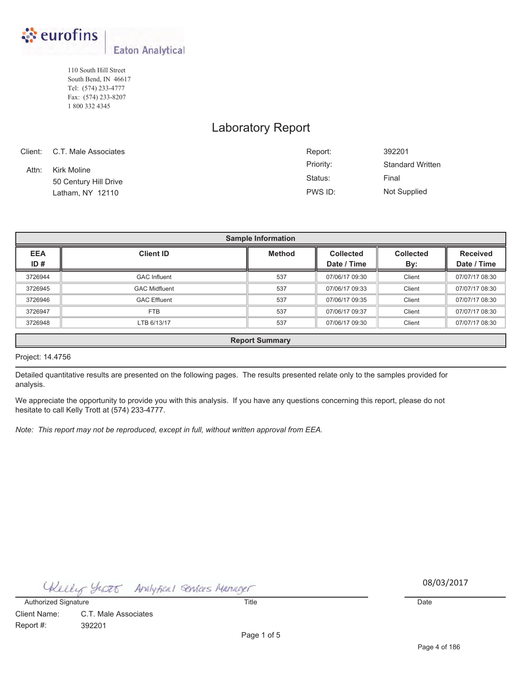

110 South Hill Street South Bend, IN 46617 Tel: (574) 233-4777 Fax: (574) 233-8207 1 800 332 4345

## Laboratory Report

|       | Client: C.T. Male Associates | Report:   | 392201                  |
|-------|------------------------------|-----------|-------------------------|
| Attn: | Kirk Moline                  | Priority: | <b>Standard Written</b> |
|       | 50 Century Hill Drive        | Status:   | Final                   |
|       | Latham, NY 12110             | PWS ID:   | <b>Not Supplied</b>     |

| <b>Sample Information</b> |                                                                  |                  |                  |                 |                |  |  |  |  |  |
|---------------------------|------------------------------------------------------------------|------------------|------------------|-----------------|----------------|--|--|--|--|--|
| <b>EEA</b>                | <b>Client ID</b>                                                 | <b>Collected</b> | <b>Collected</b> | <b>Received</b> |                |  |  |  |  |  |
| ID#                       |                                                                  |                  | Date / Time      | By:             | Date / Time    |  |  |  |  |  |
| 3726944                   | <b>GAC Influent</b>                                              | 537              | 07/06/17 09:30   | Client          | 07/07/17 08:30 |  |  |  |  |  |
| 3726945                   | <b>GAC Midfluent</b>                                             | 537              | 07/06/17 09:33   | Client          | 07/07/17 08:30 |  |  |  |  |  |
| 3726946                   | <b>GAC Effluent</b>                                              | 537              | 07/06/17 09:35   | Client          | 07/07/17 08:30 |  |  |  |  |  |
| 3726947                   | FTB                                                              | 537              | 07/06/17 09:37   | Client          | 07/07/17 08:30 |  |  |  |  |  |
| 3726948                   | 537<br>Client<br>07/07/17 08:30<br>LTB 6/13/17<br>07/06/17 09:30 |                  |                  |                 |                |  |  |  |  |  |
|                           | <b>Report Summary</b>                                            |                  |                  |                 |                |  |  |  |  |  |

### Project: 14.4756

Detailed quantitative results are presented on the following pages. The results presented relate only to the samples provided for analysis.

We appreciate the opportunity to provide you with this analysis. If you have any questions concerning this report, please do not hesitate to call Kelly Trott at (574) 233-4777.

*Note: This report may not be reproduced, except in full, without written approval from EEA.*

Chelly yrat Analytical Senices Manager 08/03/2017

Authorized Signature Date Date Control of Title Title Control of the Date Date Date Date Date Date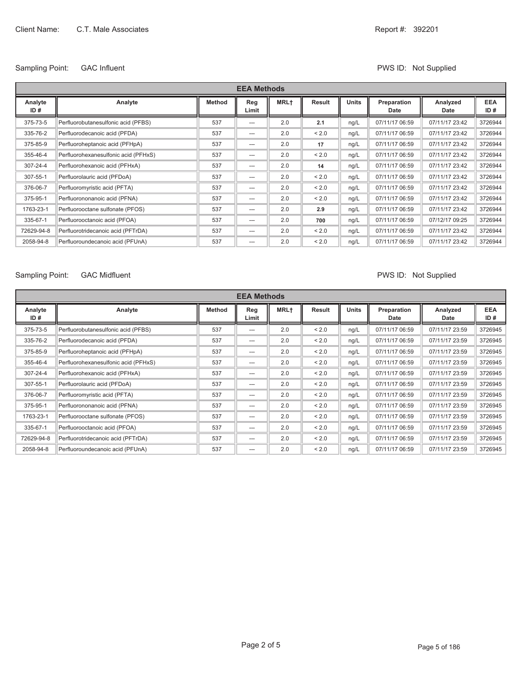## Sampling Point: GAC Influent COME CONTROLLER CONTROLLER PWS ID: Not Supplied

| <b>EEA Methods</b> |                                      |               |              |             |        |              |                     |                  |                   |
|--------------------|--------------------------------------|---------------|--------------|-------------|--------|--------------|---------------------|------------------|-------------------|
| Analyte<br>ID#     | Analyte                              | <b>Method</b> | Reg<br>Limit | <b>MRL+</b> | Result | <b>Units</b> | Preparation<br>Date | Analyzed<br>Date | <b>EEA</b><br>ID# |
| 375-73-5           | Perfluorobutanesulfonic acid (PFBS)  | 537           | $---$        | 2.0         | 2.1    | ng/L         | 07/11/17 06:59      | 07/11/17 23:42   | 3726944           |
| 335-76-2           | Perfluorodecanoic acid (PFDA)        | 537           | ---          | 2.0         | < 2.0  | ng/L         | 07/11/17 06:59      | 07/11/17 23:42   | 3726944           |
| 375-85-9           | Perfluoroheptanoic acid (PFHpA)      | 537           | $---$        | 2.0         | 17     | ng/L         | 07/11/17 06:59      | 07/11/17 23:42   | 3726944           |
| 355-46-4           | Perfluorohexanesulfonic acid (PFHxS) | 537           | $---$        | 2.0         | < 2.0  | ng/L         | 07/11/17 06:59      | 07/11/17 23:42   | 3726944           |
| 307-24-4           | Perfluorohexanoic acid (PFHxA)       | 537           | $---$        | 2.0         | 14     | ng/L         | 07/11/17 06:59      | 07/11/17 23:42   | 3726944           |
| 307-55-1           | Perfluorolauric acid (PFDoA)         | 537           | $---$        | 2.0         | < 2.0  | ng/L         | 07/11/17 06:59      | 07/11/17 23:42   | 3726944           |
| 376-06-7           | Perfluoromyristic acid (PFTA)        | 537           | ---          | 2.0         | < 2.0  | ng/L         | 07/11/17 06:59      | 07/11/17 23:42   | 3726944           |
| 375-95-1           | Perfluorononanoic acid (PFNA)        | 537           | $---$        | 2.0         | < 2.0  | ng/L         | 07/11/17 06:59      | 07/11/17 23:42   | 3726944           |
| 1763-23-1          | Perfluorooctane sulfonate (PFOS)     | 537           | $---$        | 2.0         | 2.9    | ng/L         | 07/11/17 06:59      | 07/11/17 23:42   | 3726944           |
| 335-67-1           | Perfluorooctanoic acid (PFOA)        | 537           | $---$        | 2.0         | 700    | ng/L         | 07/11/17 06:59      | 07/12/17 09:25   | 3726944           |
| 72629-94-8         | Perfluorotridecanoic acid (PFTrDA)   | 537           | ---          | 2.0         | < 2.0  | ng/L         | 07/11/17 06:59      | 07/11/17 23:42   | 3726944           |
| 2058-94-8          | Perfluoroundecanoic acid (PFUnA)     | 537           | $---$        | 2.0         | < 2.0  | ng/L         | 07/11/17 06:59      | 07/11/17 23:42   | 3726944           |

## Sampling Point: GAC Midfluent COME CONSERVITY OF SUPPLIES AND PWS ID: Not Supplied

|                | <b>EEA Methods</b>                   |               |              |             |        |              |                     |                  |                   |
|----------------|--------------------------------------|---------------|--------------|-------------|--------|--------------|---------------------|------------------|-------------------|
| Analyte<br>ID# | Analyte                              | <b>Method</b> | Reg<br>Limit | <b>MRL+</b> | Result | <b>Units</b> | Preparation<br>Date | Analyzed<br>Date | <b>EEA</b><br>ID# |
| 375-73-5       | Perfluorobutanesulfonic acid (PFBS)  | 537           | $---$        | 2.0         | < 2.0  | ng/L         | 07/11/17 06:59      | 07/11/17 23:59   | 3726945           |
| 335-76-2       | Perfluorodecanoic acid (PFDA)        | 537           | ---          | 2.0         | < 2.0  | ng/L         | 07/11/17 06:59      | 07/11/17 23:59   | 3726945           |
| 375-85-9       | Perfluoroheptanoic acid (PFHpA)      | 537           | ---          | 2.0         | < 2.0  | ng/L         | 07/11/17 06:59      | 07/11/17 23:59   | 3726945           |
| 355-46-4       | Perfluorohexanesulfonic acid (PFHxS) | 537           | $---$        | 2.0         | < 2.0  | ng/L         | 07/11/17 06:59      | 07/11/17 23:59   | 3726945           |
| 307-24-4       | Perfluorohexanoic acid (PFHxA)       | 537           | $---$        | 2.0         | < 2.0  | ng/L         | 07/11/17 06:59      | 07/11/17 23:59   | 3726945           |
| 307-55-1       | Perfluorolauric acid (PFDoA)         | 537           | ---          | 2.0         | < 2.0  | ng/L         | 07/11/17 06:59      | 07/11/17 23:59   | 3726945           |
| 376-06-7       | Perfluoromyristic acid (PFTA)        | 537           | $---$        | 2.0         | < 2.0  | ng/L         | 07/11/17 06:59      | 07/11/17 23:59   | 3726945           |
| 375-95-1       | Perfluorononanoic acid (PFNA)        | 537           | ---          | 2.0         | < 2.0  | ng/L         | 07/11/17 06:59      | 07/11/17 23:59   | 3726945           |
| 1763-23-1      | Perfluorooctane sulfonate (PFOS)     | 537           | $---$        | 2.0         | < 2.0  | ng/L         | 07/11/17 06:59      | 07/11/17 23:59   | 3726945           |
| 335-67-1       | Perfluorooctanoic acid (PFOA)        | 537           | $---$        | 2.0         | < 2.0  | ng/L         | 07/11/17 06:59      | 07/11/17 23:59   | 3726945           |
| 72629-94-8     | Perfluorotridecanoic acid (PFTrDA)   | 537           | $---$        | 2.0         | < 2.0  | ng/L         | 07/11/17 06:59      | 07/11/17 23:59   | 3726945           |
| 2058-94-8      | Perfluoroundecanoic acid (PFUnA)     | 537           | ---          | 2.0         | < 2.0  | ng/L         | 07/11/17 06:59      | 07/11/17 23:59   | 3726945           |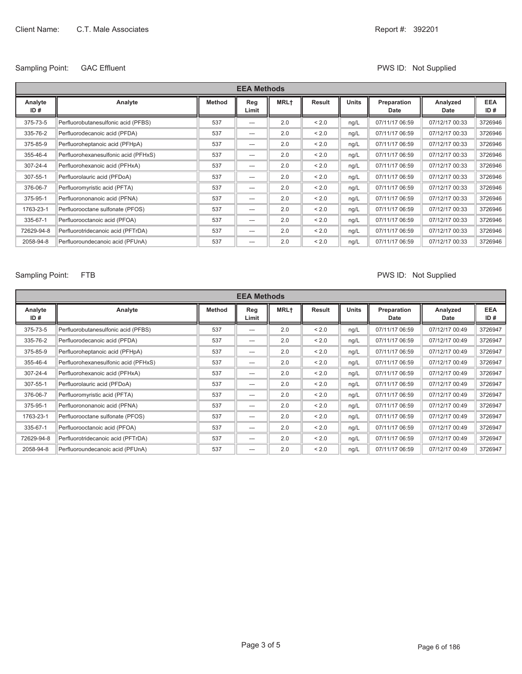## Sampling Point: GAC Effluent COME CONTEXT CONTEXT CONTEXT CONTEXT CONTEXT PWS ID: Not Supplied

| <b>EEA Methods</b> |                                      |               |              |             |        |              |                     |                  |                   |
|--------------------|--------------------------------------|---------------|--------------|-------------|--------|--------------|---------------------|------------------|-------------------|
| Analyte<br>ID#     | Analyte                              | <b>Method</b> | Reg<br>Limit | <b>MRL+</b> | Result | <b>Units</b> | Preparation<br>Date | Analyzed<br>Date | <b>EEA</b><br>ID# |
| 375-73-5           | Perfluorobutanesulfonic acid (PFBS)  | 537           | $---$        | 2.0         | < 2.0  | ng/L         | 07/11/17 06:59      | 07/12/17 00:33   | 3726946           |
| 335-76-2           | Perfluorodecanoic acid (PFDA)        | 537           | $---$        | 2.0         | < 2.0  | ng/L         | 07/11/17 06:59      | 07/12/17 00:33   | 3726946           |
| 375-85-9           | Perfluoroheptanoic acid (PFHpA)      | 537           | $---$        | 2.0         | < 2.0  | ng/L         | 07/11/17 06:59      | 07/12/17 00:33   | 3726946           |
| 355-46-4           | Perfluorohexanesulfonic acid (PFHxS) | 537           | ---          | 2.0         | < 2.0  | ng/L         | 07/11/17 06:59      | 07/12/17 00:33   | 3726946           |
| 307-24-4           | Perfluorohexanoic acid (PFHxA)       | 537           | ---          | 2.0         | < 2.0  | ng/L         | 07/11/17 06:59      | 07/12/17 00:33   | 3726946           |
| 307-55-1           | Perfluorolauric acid (PFDoA)         | 537           | $---$        | 2.0         | < 2.0  | ng/L         | 07/11/17 06:59      | 07/12/17 00:33   | 3726946           |
| 376-06-7           | Perfluoromyristic acid (PFTA)        | 537           | ---          | 2.0         | < 2.0  | ng/L         | 07/11/17 06:59      | 07/12/17 00:33   | 3726946           |
| 375-95-1           | Perfluorononanoic acid (PFNA)        | 537           | $---$        | 2.0         | < 2.0  | ng/L         | 07/11/17 06:59      | 07/12/17 00:33   | 3726946           |
| 1763-23-1          | Perfluorooctane sulfonate (PFOS)     | 537           | $---$        | 2.0         | < 2.0  | ng/L         | 07/11/17 06:59      | 07/12/17 00:33   | 3726946           |
| 335-67-1           | Perfluorooctanoic acid (PFOA)        | 537           | $---$        | 2.0         | < 2.0  | ng/L         | 07/11/17 06:59      | 07/12/17 00:33   | 3726946           |
| 72629-94-8         | Perfluorotridecanoic acid (PFTrDA)   | 537           | $---$        | 2.0         | < 2.0  | ng/L         | 07/11/17 06:59      | 07/12/17 00:33   | 3726946           |
| 2058-94-8          | Perfluoroundecanoic acid (PFUnA)     | 537           | ---          | 2.0         | < 2.0  | ng/L         | 07/11/17 06:59      | 07/12/17 00:33   | 3726946           |

## Sampling Point: FTB **PWS ID:** Not Supplied

|                | <b>EEA Methods</b>                   |               |              |                  |        |              |                     |                  |                   |
|----------------|--------------------------------------|---------------|--------------|------------------|--------|--------------|---------------------|------------------|-------------------|
| Analyte<br>ID# | Analyte                              | <b>Method</b> | Reg<br>Limit | MRL <sup>+</sup> | Result | <b>Units</b> | Preparation<br>Date | Analyzed<br>Date | <b>EEA</b><br>ID# |
| 375-73-5       | Perfluorobutanesulfonic acid (PFBS)  | 537           | $---$        | 2.0              | < 2.0  | ng/L         | 07/11/17 06:59      | 07/12/17 00:49   | 3726947           |
| 335-76-2       | Perfluorodecanoic acid (PFDA)        | 537           | ---          | 2.0              | < 2.0  | ng/L         | 07/11/17 06:59      | 07/12/17 00:49   | 3726947           |
| 375-85-9       | Perfluoroheptanoic acid (PFHpA)      | 537           | ---          | 2.0              | < 2.0  | ng/L         | 07/11/17 06:59      | 07/12/17 00:49   | 3726947           |
| 355-46-4       | Perfluorohexanesulfonic acid (PFHxS) | 537           | ---          | 2.0              | < 2.0  | ng/L         | 07/11/17 06:59      | 07/12/17 00:49   | 3726947           |
| 307-24-4       | Perfluorohexanoic acid (PFHxA)       | 537           | ---          | 2.0              | < 2.0  | ng/L         | 07/11/17 06:59      | 07/12/17 00:49   | 3726947           |
| 307-55-1       | Perfluorolauric acid (PFDoA)         | 537           | $---$        | 2.0              | < 2.0  | ng/L         | 07/11/17 06:59      | 07/12/17 00:49   | 3726947           |
| 376-06-7       | Perfluoromyristic acid (PFTA)        | 537           | $---$        | 2.0              | < 2.0  | ng/L         | 07/11/17 06:59      | 07/12/17 00:49   | 3726947           |
| 375-95-1       | Perfluorononanoic acid (PFNA)        | 537           | $---$        | 2.0              | < 2.0  | ng/L         | 07/11/17 06:59      | 07/12/17 00:49   | 3726947           |
| 1763-23-1      | Perfluorooctane sulfonate (PFOS)     | 537           | $---$        | 2.0              | < 2.0  | ng/L         | 07/11/17 06:59      | 07/12/17 00:49   | 3726947           |
| 335-67-1       | Perfluorooctanoic acid (PFOA)        | 537           | ---          | 2.0              | < 2.0  | ng/L         | 07/11/17 06:59      | 07/12/17 00:49   | 3726947           |
| 72629-94-8     | Perfluorotridecanoic acid (PFTrDA)   | 537           | $---$        | 2.0              | < 2.0  | ng/L         | 07/11/17 06:59      | 07/12/17 00:49   | 3726947           |
| 2058-94-8      | Perfluoroundecanoic acid (PFUnA)     | 537           | $---$        | 2.0              | < 2.0  | ng/L         | 07/11/17 06:59      | 07/12/17 00:49   | 3726947           |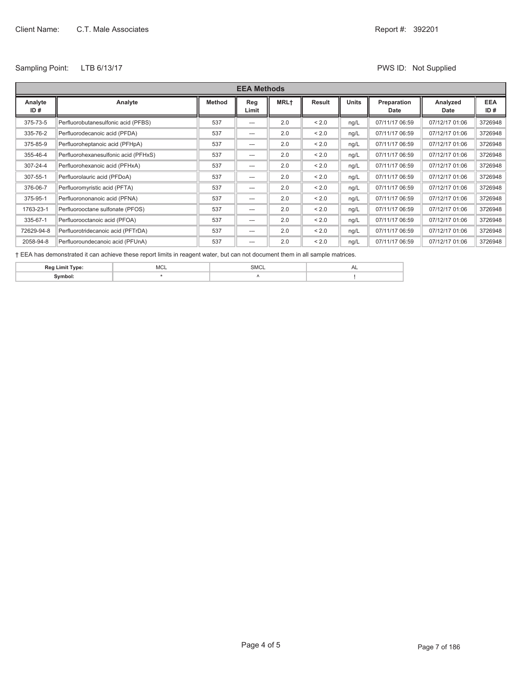## Sampling Point: LTB 6/13/17 CHE SAMPLE 2018 12: Not Supplied

|                | <b>EEA Methods</b>                   |               |              |             |        |              |                     |                  |                   |
|----------------|--------------------------------------|---------------|--------------|-------------|--------|--------------|---------------------|------------------|-------------------|
| Analyte<br>ID# | Analyte                              | <b>Method</b> | Reg<br>Limit | <b>MRL+</b> | Result | <b>Units</b> | Preparation<br>Date | Analyzed<br>Date | <b>EEA</b><br>ID# |
| 375-73-5       | Perfluorobutanesulfonic acid (PFBS)  | 537           | $---$        | 2.0         | < 2.0  | ng/L         | 07/11/17 06:59      | 07/12/17 01:06   | 3726948           |
| 335-76-2       | Perfluorodecanoic acid (PFDA)        | 537           | $---$        | 2.0         | < 2.0  | ng/L         | 07/11/17 06:59      | 07/12/17 01:06   | 3726948           |
| 375-85-9       | Perfluoroheptanoic acid (PFHpA)      | 537           | $---$        | 2.0         | < 2.0  | ng/L         | 07/11/17 06:59      | 07/12/17 01:06   | 3726948           |
| 355-46-4       | Perfluorohexanesulfonic acid (PFHxS) | 537           | $---$        | 2.0         | < 2.0  | ng/L         | 07/11/17 06:59      | 07/12/17 01:06   | 3726948           |
| 307-24-4       | Perfluorohexanoic acid (PFHxA)       | 537           | $---$        | 2.0         | < 2.0  | ng/L         | 07/11/17 06:59      | 07/12/17 01:06   | 3726948           |
| 307-55-1       | Perfluorolauric acid (PFDoA)         | 537           | $---$        | 2.0         | < 2.0  | ng/L         | 07/11/17 06:59      | 07/12/17 01:06   | 3726948           |
| 376-06-7       | Perfluoromyristic acid (PFTA)        | 537           | $---$        | 2.0         | < 2.0  | ng/L         | 07/11/17 06:59      | 07/12/17 01:06   | 3726948           |
| 375-95-1       | Perfluorononanoic acid (PFNA)        | 537           | $---$        | 2.0         | < 2.0  | ng/L         | 07/11/17 06:59      | 07/12/17 01:06   | 3726948           |
| 1763-23-1      | Perfluorooctane sulfonate (PFOS)     | 537           | $---$        | 2.0         | < 2.0  | ng/L         | 07/11/17 06:59      | 07/12/17 01:06   | 3726948           |
| 335-67-1       | Perfluorooctanoic acid (PFOA)        | 537           | $---$        | 2.0         | < 2.0  | ng/L         | 07/11/17 06:59      | 07/12/17 01:06   | 3726948           |
| 72629-94-8     | Perfluorotridecanoic acid (PFTrDA)   | 537           | $---$        | 2.0         | < 2.0  | ng/L         | 07/11/17 06:59      | 07/12/17 01:06   | 3726948           |
| 2058-94-8      | Perfluoroundecanoic acid (PFUnA)     | 537           | $---$        | 2.0         | < 2.0  | nq/L         | 07/11/17 06:59      | 07/12/17 01:06   | 3726948           |

Ü EEA has demonstrated it can achieve these report limits in reagent water, but can not document them in all sample matrices.

| ٠. |  |  |
|----|--|--|
|    |  |  |